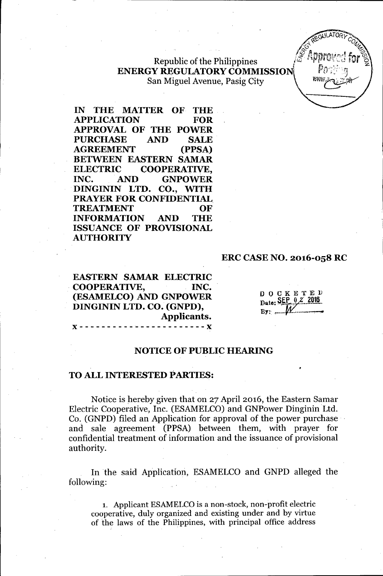$\mathbb{R}$  **Republic of the Philippines** ENERGY REGULATORY COMMISSION San Miguel Avenue, Pasig City



IN THE MATTER OF THE APPLICATION FOR APPROVAL OF THE POWER PURCHASE AND SALE AGREEMENT (PPSA) BETWEEN EASTERN SAMAR ELECTRIC COOPERATIVE, INC. AND GNPOWER DINGININ LTD. CO., WITH PRAYER FOR CONFIDENTIAL. TREATMENT OF INFORMATION AND THE ISSUANCE OF PROVISIONAL **AUTHORITY** 

#### ERC CASE NO. 2016-058 RC

EASTERN SAMAR ELECTRIC . COOPERATIVE, INC. (ESAMELCO) AND GNPOWER DINGININ LTD. CO. (GNPD), Applicants.

x----------~------------x

| D | -0 | <b>CKET</b>               |  | E D |  |
|---|----|---------------------------|--|-----|--|
|   |    | Date: $SEE_2 \times 2016$ |  |     |  |
|   |    |                           |  |     |  |

#### NOTICE OF PUBLIC HEARING

#### TO ALL INTERESTED PARTIES:

Notice is hereby given that on 27 April 2016, the Eastern Samar Electric Cooperative, Inc. (ESAMELCO) and GNPower Dinginin Ltd. Co. (GNPD) filed an Application for approval of the power purchase' and sale agreement (PPSA) between them, with prayer for confidential treatment of information and the issuance of provisional authority.

In the said Application, ESAMELCO and GNPD alleged the following:

1. Applicant ESAMELCO is a non-stock, non-profit electric cooperative, duly organized and existing under and by virtue of the laws of the Philippines, with principal office address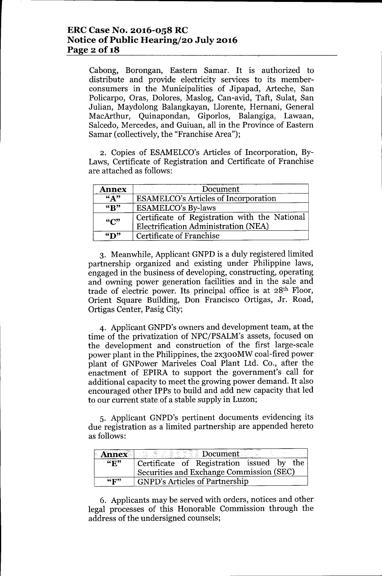Cabong, Borongan, Eastern Samar. It is authorized to distribute and provide electricity services to its memberconsumers in the Municipalities of Jipapad, Arteche, San Policarpo, Oras, Dolores, Maslog, Can-avid, Taft, Sulat, San Julian, Maydolong Balangkayan, Llorente, Hernani, General MacArthur, Quinapondan, Giporlos, Balangiga, Lawaan, Salcedo, Mercedes, and Guiuan, all in the Province of Eastern Samar (collectively, the "Franchise Area");

2. Copies of ESAMELCO's Articles of Incorporation, By-Laws, Certificate of Registration and Certificate of Franchise are attached as follows:

| <b>Annex</b>                                                             | Document                                                                              |  |  |
|--------------------------------------------------------------------------|---------------------------------------------------------------------------------------|--|--|
| $\mathbf{K}$ $\mathbf{A}$<br><b>ESAMELCO's Articles of Incorporation</b> |                                                                                       |  |  |
| $K$ <sup>37</sup>                                                        | <b>ESAMELCO's By-laws</b>                                                             |  |  |
| $\mathcal{C}$                                                            | Certificate of Registration with the National<br>Electrification Administration (NEA) |  |  |
| $\mathbf{Y}$                                                             | Certificate of Franchise                                                              |  |  |

3. Meanwhile, Applicant GNPD is a duly registered limited partnership organized and existing under Philippine laws, engaged in the business of developing, constructing, operating and owning power generation facilities and in the sale and trade of electric power. Its principal office is at 28th Floor, Orient Square Building, Don Francisco Ortigas, Jr. Road, Ortigas Center, Pasig City;

4. Applicant GNPD's owners and development team, at the time of the privatization of NPC/PSALM's assets, focused on the development and construction of the first large-scale power plant in the Philippines, the 2x300MW coal-fired power plant of GNPower Mariveles Coal Plant Ltd. Co., after the enactment of EPIRA to support the government's call for additional capacity to meet the growing power demand. It also encouraged other IPPs to build and add new capacity that led to our current state of a stable supply in Luzon;

5. Applicant GNPD's pertinent documents evidencing its due registration as a limited partnership are appended hereto as follows:

| <b>Annex</b>    | 「嘉 意志參与了資本 Document」                      |  |  |  |
|-----------------|-------------------------------------------|--|--|--|
| $``\mathbf{E}"$ | Certificate of Registration issued by the |  |  |  |
|                 | Securities and Exchange Commission (SEC)  |  |  |  |
| $\mathbf{G}$    | <b>GNPD's Articles of Partnership</b>     |  |  |  |

6. Applicants may be served with orders, notices and other legal processes of this Honorable Commission through the address of the undersigned counsels;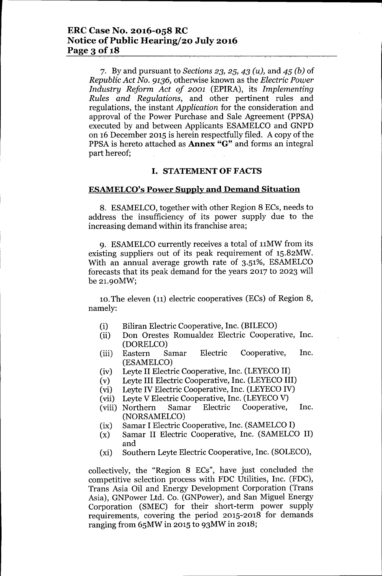7. l3yand pursuant ~o*Sections* 23, 25, 43 *(u),* and 45 *(b)* of *Republic Act No.* 9136, otherwise known as the *Electric Power Industry Reform Act of 2001* (EPlRA), its *Implementing Rules and Regulations,* and other pertinent rules and regulations, the instant *Application* for the consideration and approval of the Power Purchase and Sale Agreement (PPSA) executed by and between Applicants ESAMELCO and GNPD on 16 December 2015 is herein respectfully filed. A copy of the PPSA is hereto attached as **Annex** "G" and forms an integral part hereof;

### **I. STATEMENTOF FACTS**

### **ESAMELCO's Power Supply and Demand Situation**

8. ESAMELCO, together with other Region 8 ECs, needs to address the insufficiency of its power supply due to the increasing demand within its franchise area;

9. ESAMELCO currently receives a total of 11MW from its existing suppliers out of its peak requirement of 15.82MW. With an annual average growth rate of 3.51%, ESAMELCO forecasts that its peak demand for the years 2017 to 2023 will be 21.90MW;

10.The eleven (n) electric cooperatives (ECs) of Region 8, namely:

- (i) Biliran Electric Cooperative, Inc. (BILECO)
- (ii) Don Orestes Romualdez Electric Cooperative, Inc. (DORELCO)
- (iii) Eastern Samar Electric Cooperative, Inc. (ESAMELCO)
- (iv) Leyte II Electric Cooperative, Inc. (LEYECOII)
- (v) Leyte **III**Electric Cooperative, Inc. (LEYECOIII)
- (vi) Leyte IV Electric Cooperative, Inc. (LEYECO IV)
- (vii) Leyte V Electric Cooperative, Inc. (LEYECOV)
- (viii) Northern Samar Electric Cooperative, Inc. (NORSAMELCO)
- (ix) Samar I Electric Cooperative, Inc. (SAMELCOI)
- (x) Samar II Electric Cooperative, Inc. (SAMELCO II) and
- (xi) Southern Leyte Electric Cooperative, Inc. (SOLECO),

collectively, the "Region 8 ECs", have just concluded the competitive selection process with FDC Utilities, Inc. (FDC), Trans Asia Oil and Energy Development Corporation (Trans Asia), GNPower Ltd. Co. (GNPower), and San Miguel Energy Corporation (SMEC) for their short-term power supply requirements, covering the period 2015-2018 for demands ranging from 65MW in 2015 to 93MW in 2018;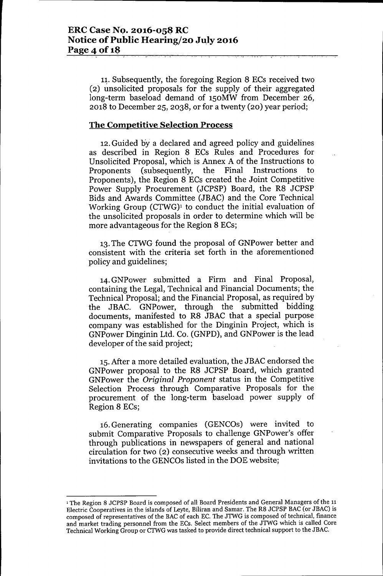11. Subsequently, the foregoing Region 8 ECs received two (2) unsolicited proposals for the supply of their aggregated long-term baseload demand of 150MW from December 26,  $2018$  to.December 25, 2038, or for a twenty (20) year period;

### **The Competitive Selection Process**

12.Guided by a declared and agreed palicy and guidelines as described in Region 8 ECs Rules and Procedures for Unsolicited Proposal, which is Annex A of the Instructions to. Proponents (subsequently, the Final Instructions to. Proponents), the Region 8 ECs created the Joint Competitive Power Supply Procurement (JCPSP) Board, the R8 JCPSP Bids and Awards Committee (JBAC) and the Core Technical Working Group  $(CTWG)^1$  to conduct the initial evaluation of the unsolicited proposals in order to determine which will be. more advantageous for the Region 8 ECs;

13. The CTWG found the proposal of GNPower better and consistent with the criteria set forth in the aforementioned palicy and guidelines;

14. GNPower submitted a Firm and Final Proposal, containing the Legal, Technical and Financial Documents; the Technical Proposal; and the Financial Proposal, as required by the JBAC. GNPower, through the submitted bidding documents, manifested to R8 JBAC that a special purpose company was established for the Dinginin Project, which is GNPower Dinginin Ltd. Co. (GNPD), and GNPower is the lead developer of the said project;

15. After a more detailed evaluation, the JBAC endorsed the GNPower proposal to the R8 JCPSP Board, which granted GNPawer the *Original Proponent* status in the Campetitive Selection Process through Comparative Proposals for the procurement of the long-term baseload power supply of Region 8 ECs;

16. Generating companies (GENCOs) were invited to. submit Comparative Proposals to challenge GNPower's offer through publications in newspapers of general and national circulation for two (2) consecutive weeks and through written invitations to the GENCOs listed in the DOE website;

<sup>&</sup>lt;sup>1</sup> The Region 8 JCPSP Board is composed of all Board Presidents and General Managers of the 11 Electric Cooperatives in the islands of Leyte, Biliran and Samar. The R8 JCPSP BAC (or JBAC) is composed of representatives of the BAC of each EC. The JTWG is composed of technical, finance and market trading personnel from the ECs. Select members of the JTWG which is called Core Technical Working Group or CTWG was tasked to provide direct technical support to the JBAC.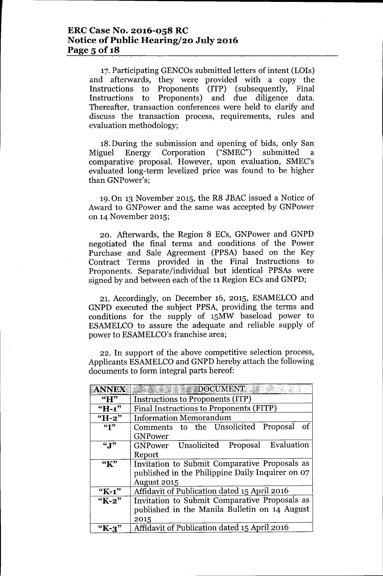17. Participating GENCOs submitted letters of intent (LOIs) and afterwards, they were provided with a copy the Instructions to Proponents (ITP) (subsequently, Final Instructions to Proponents) and due diligence data. Thereafter, transaction conferences were held to clarify and discuss the transaction process, requirements, rules and evaluation methodology;

18.During the suhmission and opening of bids, only San Miguel Energy .Corporation ("SMEC") submitted a comparative proposal. However, upon evaluation, SMEC's evaluated long-term levelized price was found to be higher than GNPower's;

19.On 13 November 2015, the R8 JBAC issued a Notice of Award to GNPower and the same was accepted by GNPower on 14November 2015;

20. Afterwards, the Region 8 ECs, GNPower and GNPD negotiated the final terms and conditions of the Power Purchase and Sale Agreement (PPSA) based on the Key Contract Terms provided in the Final Instructions to Proponents. Separate/individual but identical PPSAs were signed by and between each of the 11 Region ECs and GNPD;

21. Accordingly, on December 16, 2015, ESAMELCO and GNPD executed the subject PPSA, providing the terms and conditions for the supply of 15MW baseload power to ESAMELCO to assure the adequate and reliable supply of power to ESAMELCO's franchise area;

22. In support of the above competitive selection process, Applicants ESAMELCO and GNPD hereby attach the following documents to form integral parts hereof:

| <b>ANNEX</b>                | $\blacksquare$ DOCUMENT                          |  |  |  |
|-----------------------------|--------------------------------------------------|--|--|--|
| $\mathbf{H}^{\prime\prime}$ | Instructions to Proponents (ITP)                 |  |  |  |
| $H-1$ "                     | Final Instructions to Proponents (FITP)          |  |  |  |
| $H - 2$                     | <b>Information Memorandum</b>                    |  |  |  |
| $\overline{ST}$             | Comments to the Unsolicited Proposal<br>of       |  |  |  |
|                             | <b>GNPower</b>                                   |  |  |  |
| $\mathbf{H}^{\prime\prime}$ | Evaluation<br>GNPower Unsolicited<br>Proposal    |  |  |  |
|                             | Report                                           |  |  |  |
| "K"                         | Invitation to Submit Comparative Proposals as    |  |  |  |
|                             | published in the Philippine Daily Inquirer on 07 |  |  |  |
|                             | August 2015                                      |  |  |  |
| $K-1$ "                     | Affidavit of Publication dated 15 April 2016     |  |  |  |
| "K-2"                       | Invitation to Submit Comparative Proposals as    |  |  |  |
|                             | published in the Manila Bulletin on 14 August    |  |  |  |
|                             | 2015                                             |  |  |  |
| $"K-3"$                     | Affidavit of Publication dated 15 April 2016     |  |  |  |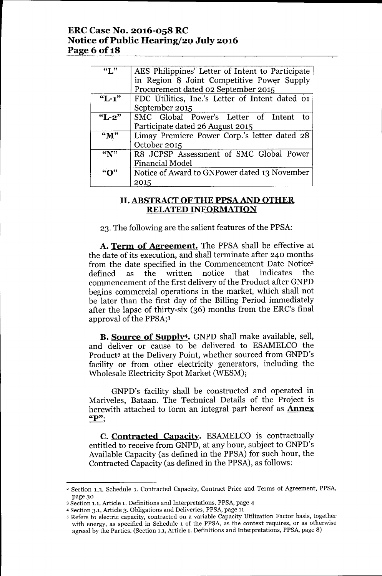## ERC Case No. 2016-058 RC Notice of Public Hearing/20 July 2016 Page 6 of 18

| $\mathbf{G}$   | AES Philippines' Letter of Intent to Participate |  |  |  |
|----------------|--------------------------------------------------|--|--|--|
|                | in Region 8 Joint Competitive Power Supply       |  |  |  |
|                | Procurement dated 02 September 2015              |  |  |  |
| $L-1$ "        | FDC Utilities, Inc.'s Letter of Intent dated 01  |  |  |  |
|                | September 2015                                   |  |  |  |
| $"L-2"$        | SMC Global Power's Letter of Intent<br>to        |  |  |  |
|                | Participate dated 26 August 2015                 |  |  |  |
| $\mathbf{M}$ " | Limay Premiere Power Corp.'s letter dated 28     |  |  |  |
|                | October 2015                                     |  |  |  |
| ``N"           | R8 JCPSP Assessment of SMC Global Power          |  |  |  |
|                | Financial Model                                  |  |  |  |
|                | Notice of Award to GNPower dated 13 November     |  |  |  |
|                | 2015                                             |  |  |  |

### II. ABSTRACTOF THE PPSA AND OTHER RELATED INFORMATION

23. The following are the salient features of the PPSA:

A. Term of Agreement. The PPSA shall be effective at the date of its execution, and shall terminate after 240 months from the date specified in the Commencement Date Notice<sup>2</sup> defined as the written notice that indicates the commencement of the first delivery of the Product after GNPD begins commercial operations in the market, which shall not be later than the first day of the Billing Period immediately after the lapse of thirty-six (36) months from the ERC's final approval of the PPSA;3

B. Source of Supply<sup>4</sup>. GNPD shall make available, sell, and deliver or cause to be delivered to ESAMELCO the Product<sup>5</sup> at the Delivery Point, whether sourced from GNPD's facility or from other electricity generators, including the Wholesale Electricity Spot Market (WESM);

GNPD's facility shall be constructed and operated in Mariveles, Bataan. The Technical Details of the Project is herewith attached to form an integral part hereof as **Annex**  $"P"$ :

**C. Contracted Capacity.** ESAMELCO is contractually entitled to receive from GNPD, at any hour, subject to GNPD's Available Capacity (as defined in the PPSA) for such hour, the Contracted Capacity (as defined in the PPSA), as follows:

<sup>2</sup> Section 1.3, Schedule 1. Contracted Capacity, Contract Price and Terms of Agreement, PPSA, page 30

<sup>3</sup> Section 1.1, Article 1. Definitions and Interpretations, PPSA, page 4

<sup>4</sup> Section 3.1, Article 3. Obligations and Deliveries, PPSA, page 11

<sup>5</sup> Refers to electric capacity, contracted on a variable Capacity Utilization Factor basis, together with energy, as specified in Schedule 1of the PPSA, as the context requires, or as otherwise agreed by the Parties. (Section 1.1, Article 1. Definitions and Interpretations, PPSA, page 8)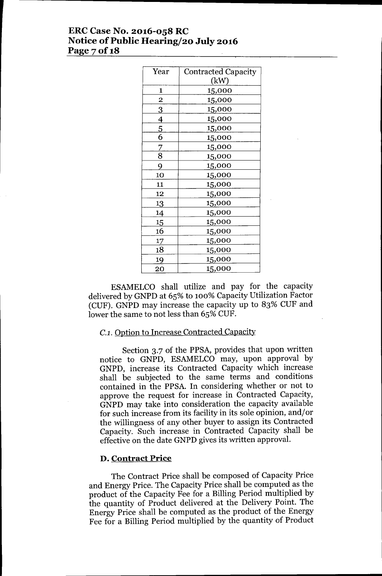## **ERCCase No. 2016-058 RC Notice** of Public **Hearing/20 July 2016 Page 70f18**

| Year           | <b>Contracted Capacity</b> |
|----------------|----------------------------|
|                | (kW)                       |
| 1              | 15,000                     |
| $\overline{c}$ | 15,000                     |
| <u>3</u>       | <u>15,000</u>              |
| $\overline{4}$ | 15,000                     |
| $\frac{5}{6}$  | 15,000                     |
|                | 15,000                     |
| $\overline{Z}$ | 15,000                     |
| $\overline{8}$ | 15,000                     |
| 9              | 15,000                     |
| 10             | 15,000                     |
| 11             | 15,000                     |
| 12             | <u>15,000</u>              |
| 13             | 15,000                     |
| 14             | 15,000                     |
| 15             | 15,000                     |
| 16             | 15,000                     |
| 17             | 15,000                     |
| 18             | <u>15,000</u>              |
| 19             | 15,000                     |
| 20             | 15,000                     |

ESAMELCO shall utilize and pay for the capacity delivered by GNPD at 65% to 100% Capacity Utilization Factor (CUF). GNPD may increase the capacity up to 83% CUF and lower the same to not less than 65% CUF.

# *C.l.* Option to Increase Contracted Capacity

Section 3.7 of the PPSA, provides that upon written notice to GNPD, ESAMELCO may, upon approval by GNPD, increase its Contracted Capacity which increase shall be subjected to the same terms and conditions contained in the PPSA. **In** considering whether or not to approve the request for increase in Contracted Capacity, GNPD may take into consideration the capacity available for such increase from its facility in its sole opinion, and/or the willingness of any other buyer to assign its Contracted Capacity. Such increase in Contracted Capacity shall be effective on the date GNPD gives its written approval.

### **D. Contract Price**

The Contract Price shall be composed of Capacity Price and Energy Price. The Capacity Price shall be computed as the product of the Capacity Fee for a Billing Period multiplied by the quantity of Product delivered at the Delivery Point. The Energy Price shall be computed as the product of the Energy Fee for a Billing Period multiplied by the quantity of Product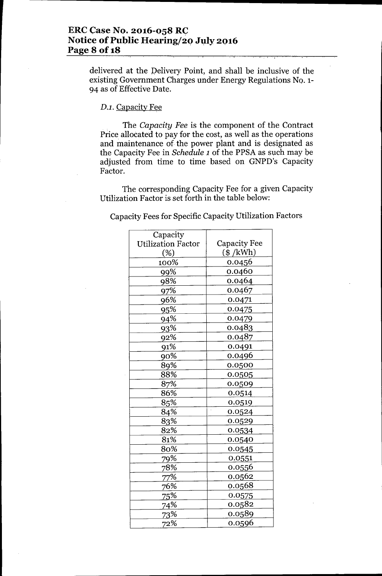## **ERe Case No. 2016-058 RC** Notice of Public Hearing/20 July 2016 **Page 8** of 18

delivered at the pelivery Point, and shall be inclusive of the existing Government Charges under Energy Regulations No. 1-94 as of Effective Date.

## *D.l.* Capacity Fee

The *Capacity Fee* is the component of the Contract Price allocated to pay for the cost, as well as the operations and maintenance of the power plant and is designated as the Capacity Fee in *Schedule 1* of the PPSA as such may be adjusted from time to time based on GNPD's Capacity Factor.

The corresponding Capacity Fee for a given Capacity Utilization Factor is set forth in the table below:

Capacity Fees for Specific Capacity Utilization Factors

| Capacity                  |                                |  |  |
|---------------------------|--------------------------------|--|--|
| <b>Utilization Factor</b> | <b>Capacity Fee</b>            |  |  |
| (%)                       | $(\$ /kWh)$                    |  |  |
| 100%                      | 0.0456                         |  |  |
| 99%                       | 0.0460                         |  |  |
| 98%                       | 0.0464                         |  |  |
| 97%                       | 0.0467                         |  |  |
| 96%                       | 0.0471                         |  |  |
| 95%                       | 0.0475                         |  |  |
| 94%                       | 0.0479                         |  |  |
| 93%                       | 0.0483                         |  |  |
| 92%                       | 0.0487                         |  |  |
| 91%                       | 0.0491                         |  |  |
| $90\%$                    | 0.0496                         |  |  |
| 89%                       | 0.0500                         |  |  |
| 88%                       | 0.0505                         |  |  |
| 87%                       | 0.0509                         |  |  |
| 86%                       | 0.0514                         |  |  |
| 85%                       | 0.0519                         |  |  |
| 84%                       | $\ddot{\phantom{a}}$<br>0.0524 |  |  |
| 83%                       | 0.0529                         |  |  |
| 82%                       | 0.0534                         |  |  |
| 81%                       | 0.0540                         |  |  |
| 80%                       | 0.0545                         |  |  |
| 79%                       | 0.0551                         |  |  |
| 78%                       | 0.0556                         |  |  |
| 77%                       | 0.0562                         |  |  |
| 76%                       | 0.0568                         |  |  |
| 75%                       | 0.0575                         |  |  |
| 74%                       | 0.0582                         |  |  |
| 73%                       | 0.0589                         |  |  |
| 72%                       | 0.0596                         |  |  |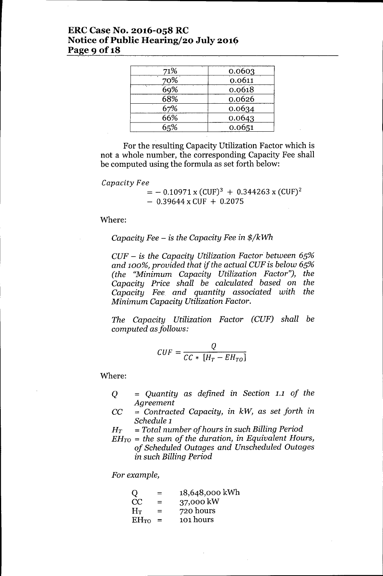## **ERC** Case No. 2016-058 RC **Notice of Public Hearing/20 July 2016 Page 9 Of18**

| 71% | 0.0603 |
|-----|--------|
| 70% | 0.0611 |
| 69% | 0.0618 |
| 68% | 0.0626 |
| 67% | 0.0634 |
| 66% | 0.0643 |
| 65% | 0.0651 |

For the resulting Capacity Utilization Factor which is not a whole number, the corresponding Capacity Fee shall be computed using the formula as set forth below:

#### *Capacity Fee*

 $=$  - 0.10971 x (CUF)<sup>3</sup> + 0.344263 x (CUF)<sup>2</sup>  $-$  0.39644 x CUF + 0.2075

#### Where:

#### *Capacity Fee - is the Capacity Fee in \$/kWh*

*CUF - is the Capacity Utilization Factor between 65% and 100%, provided that if the actual CUF is below 65% (the "Minimum Capacity Utilization Factor"), the Capacity Price shall be calculated based on the Capacity Fee and quantity associated with the Minimum Capacity Utilization Factor.*

*The Capacity Utilization Factor (CUF) shall be computed asfollows:*

$$
CUF = \frac{Q}{CC * [H_T - EH_{TO}]}
$$

Where:

- Q = *Quantity* as *defined in Section* 1.1 *of the Agreement*
- CC = *Contracted Capacity, in kW,* as *set forth in Schedule 1*
- *HT* = *Total number of hours in such Billing Period*
- *EHTO* = *the sum of the duration, in Equivalent Hours, of Scheduled Outages and Unscheduled Outages in such Billing Period*

*For example,*

| $\overline{O}$ | $=$ | 18,648,000 kWh |
|----------------|-----|----------------|
| CC             | $=$ | 37,000 kW      |
| $H_T$          | $=$ | 720 hours      |
| $EH_{TO}$      | $=$ | 101 hours      |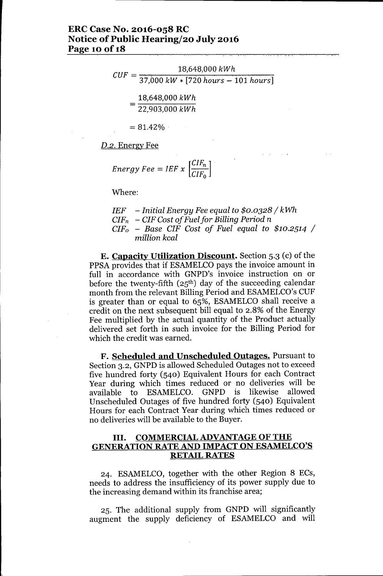## **ERCCase No. 2016-058 RC Notice** of Public **Hearing/20 July 2016 Page 10 Of18**

$$
CUF = \frac{18,648,000 \, kWh}{37,000 \, kW * [720 \, hours - 101 \, hours]}
$$
\n
$$
= \frac{18,648,000 \, kWh}{22,903,000 \, kWh}
$$
\n
$$
= 81.42\%
$$

*D.2.* Energy Fee

Energy 
$$
Fee = IEF \times \left[\frac{CIF_n}{CIF_0}\right]
$$

Where:

*IEF* 
$$
-
$$
 Initial Energy *Free* equal to \$0.0328 / kWh  
\n*CIF<sub>n</sub>*  $-$  *CIF* Cost of *Full for Billing Period n*  
\n*CIF<sub>o</sub>*  $-$  *Base CIF Cost of Full equal to* \$10.2514 / million kcal

**E. Capacity Utilization Discount.** Section 5.3 (c) of the PPSA provides that if ESAMELCO pays the invoice amount in full in accordance with GNPD's invoice instruction on or before the twenty-fifth  $(25<sup>th</sup>)$  day of the succeeding calendar month from the relevant Billing Period and ESAMELCO's CUF is greater than or equal to 65%, ESAMELCO shall receive a credit on the next subsequent bill equal to 2.8% of the Energy Fee multiplied by the actual quantity of the Product actually delivered set forth in such invoice for the Billing Period for which the credit was earned.

**F. Scheduled and Unscheduled Outages.** Pursuant to Section 3.2, GNPD is allowed Scheduled Outages not to exceed five hundred forty (540) Equivalent Hours for each Contract Year during which times reduced or no deliveries will be available to ESAMELCO. GNPD is likewise allowed Unscheduled Outages of five hundred forty (540) Equivalent Hours for each Contract Year during which times reduced or no deliveries will be available to the Buyer.

### **III. COMMERCIALADVANTAGE OF THE GENERATION RATEAND IMPACT ON ESAMELCO'S RETAIL RATES**

24. ESAMELCO, together with the other Region 8 ECs, needs to address the insufficiency of its power supply due to the increasing demand within its franchise area;

25. The additional supply from GNPD will significantly augment the supply deficiency of ESAMELCO and will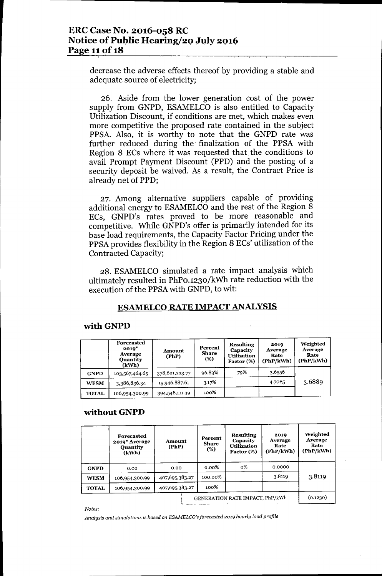## **ERC Case No. 2016-058 RC Notice of Public Hearing/20 July 2016 Page 11 of 18**

decrease the adverse effects thereof by providing a stable and adequate source of electricity;

26. Aside from the lower generation cost of the power supply from GNPD, ESAMELCO is also entitled to Capacity Utilization Discount, if conditions are met, which makes even more competitive the proposed rate contained in the subject PPSA. Also, it is worthy to note that the GNPD rate was further reduced during the finalization of the PPSA with Region 8 ECs where it was requested that. the conditions to avail Prompt Payment Discount (PPD) and the posting of a security deposit be waived. As a result, the Contract Price is already net of PPD;

27. Among alternative suppliers capable of providing additional energy to ESAMELCO and the rest of the Region 8 ECs, GNPD's rates proved to be more reasonable and competitive. While GNPD's offer is primarily intended for its base load requirements, the Capacity Factor Pricing under the PPSA provides flexibility in the Region 8 ECs' utilization of the Contracted Capacity;

28. ESAMELCO simulated a rate impact analysis which ultimately resulted in PhPO.1230/kWh rate reduction with the execution of the PPSAwith GNPD, to wit:

## **ESAMELCO RATE IMPACT ANALYSIS**

#### with **GNPD**

|              | Forecasted<br>$2019*$<br>Average<br><b>Quantity</b><br>(kWh) | Amount<br>(PhP) | Percent<br><b>Share</b><br>(%) | <b>Resulting</b><br>Capacity<br><b>Utilization</b><br>Factor (%) | 2019<br>Average<br>Rate<br>(PhP/kWh) | Weighted<br>Average<br>Rate<br>(PhP/kWh) |
|--------------|--------------------------------------------------------------|-----------------|--------------------------------|------------------------------------------------------------------|--------------------------------------|------------------------------------------|
| <b>GNPD</b>  | 103,567,464.65                                               | 378,601,223.77  | 96.83%                         | 79%                                                              | 3.6556                               |                                          |
| <b>WESM</b>  | 3,386,836.34                                                 | 15,946,887.61   | 3.17%                          |                                                                  | 4.7085                               | 3.6889                                   |
| <b>TOTAL</b> | 106,954,300.99                                               | 394,548,111.39  | 100%                           |                                                                  |                                      |                                          |

#### **without GNPD**

|              | Forecasted<br>2019* Average<br><b>Quantity</b><br>(kWh) | Amount<br>(PhP) | Percent<br><b>Share</b><br>(%) | <b>Resulting</b><br>Capacity<br><b>Utilization</b><br>Factor (%) | 2019<br>Average<br>Rate<br>(PhP/kWh) | Weighted<br>Average<br>Rate<br>(PhP/kWh) |
|--------------|---------------------------------------------------------|-----------------|--------------------------------|------------------------------------------------------------------|--------------------------------------|------------------------------------------|
| <b>GNPD</b>  | 0.00                                                    | 0.00            | $0.00\%$                       | о%                                                               | 0.0000                               |                                          |
| <b>WESM</b>  | 106,954,300.99                                          | 407,695,383.27  | 100.00%                        |                                                                  | 3.8119                               | 3.8119                                   |
| <b>TOTAL</b> | 106,954,300.99                                          | 407,695,383.27  | 100%                           |                                                                  |                                      |                                          |
|              |                                                         |                 |                                | GENERATION RATE IMPACT, PhP/kWh                                  |                                      | (0.1230)                                 |

*Notes:*

*Analysis and simulations* is *based* on *ESAMELCO'sforeeasted 2019 hourly load profile*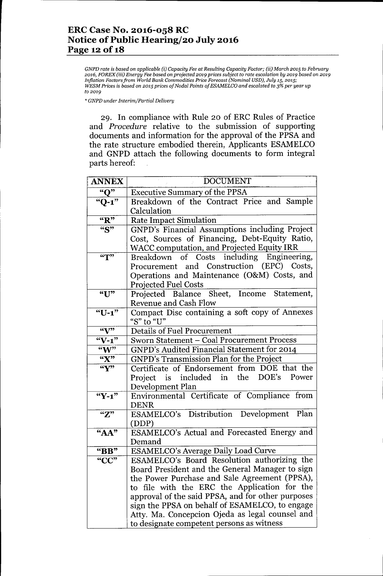GNPD rate is based on applicable (i) Capacity Fee at Resulting Capacity Factor; (ii) March 2015 to February 2016, FOREX (iii) Energy Fee based on projected 2019 prices subject to rate escalation by 2019 based on 2019 *Inflation Factors from World Bank Commodities Price Forecast (Nominal USD), July* 15, *2015; WESM Prices* is *based on 2015 prices of Nodal Points of ESAMELCO and escalated to* 3% *per year up to 2019*

*\* GNPD under Interim/Partial Delivery*

29. In compliance with Rule 20 of ERC Rules of Practice and *Procedure* relative to the submission of supporting documents and information for the approval of the PPSA and the rate structure embodied therein, Applicants ESAMELCO and GNPD attach the following documents to form integral parts hereof:

| <b>ANNEX</b>                           | <b>DOCUMENT</b>                                                                              |  |  |  |  |
|----------------------------------------|----------------------------------------------------------------------------------------------|--|--|--|--|
| " $Q"$                                 | <b>Executive Summary of the PPSA</b>                                                         |  |  |  |  |
| $"Q-1"$                                | Breakdown of the Contract Price and Sample                                                   |  |  |  |  |
|                                        | Calculation                                                                                  |  |  |  |  |
| $\overline{\mathbf{R}^{\prime\prime}}$ | <b>Rate Impact Simulation</b>                                                                |  |  |  |  |
| $\overline{``S"}$                      | GNPD's Financial Assumptions including Project                                               |  |  |  |  |
|                                        | Cost, Sources of Financing, Debt-Equity Ratio,<br>WACC computation, and Projected Equity IRR |  |  |  |  |
| $\mathbf{G}$                           | Breakdown of Costs including Engineering,                                                    |  |  |  |  |
|                                        | Procurement and Construction (EPC) Costs,                                                    |  |  |  |  |
|                                        | Operations and Maintenance (O&M) Costs, and                                                  |  |  |  |  |
|                                        | <b>Projected Fuel Costs</b>                                                                  |  |  |  |  |
| ``U"                                   | Projected Balance Sheet, Income Statement,                                                   |  |  |  |  |
|                                        | <b>Revenue and Cash Flow</b>                                                                 |  |  |  |  |
| " $U-1$ "                              | Compact Disc containing a soft copy of Annexes                                               |  |  |  |  |
|                                        | "S" to "U"                                                                                   |  |  |  |  |
| $\mathbf{w}$                           | <b>Details of Fuel Procurement</b>                                                           |  |  |  |  |
| $\sqrt[4]{-1}$                         | Sworn Statement - Coal Procurement Process                                                   |  |  |  |  |
| $\overline{W}$                         | GNPD's Audited Financial Statement for 2014                                                  |  |  |  |  |
| $\overline{K''}$                       | GNPD's Transmission Plan for the Project                                                     |  |  |  |  |
| $\overline{\mathbf{w}}$                | Certificate of Endorsement from DOE that the                                                 |  |  |  |  |
|                                        | Project is included in the DOE's<br>Power                                                    |  |  |  |  |
|                                        | Development Plan                                                                             |  |  |  |  |
| " $Y-1"$                               | Environmental Certificate of Compliance from                                                 |  |  |  |  |
|                                        | <b>DENR</b>                                                                                  |  |  |  |  |
| $\mathbf{Z}^*$                         | ESAMELCO's Distribution Development Plan                                                     |  |  |  |  |
|                                        | (DDP)                                                                                        |  |  |  |  |
| $A^{\prime\prime}$                     | ESAMELCO's Actual and Forecasted Energy and<br>Demand                                        |  |  |  |  |
| $\mathbf{B}$ BB"                       | <b>ESAMELCO's Average Daily Load Curve</b>                                                   |  |  |  |  |
| "CC"                                   | ESAMELCO's Board Resolution authorizing the                                                  |  |  |  |  |
|                                        | Board President and the General Manager to sign                                              |  |  |  |  |
|                                        | the Power Purchase and Sale Agreement (PPSA),                                                |  |  |  |  |
|                                        | to file with the ERC the Application for the                                                 |  |  |  |  |
|                                        | approval of the said PPSA, and for other purposes                                            |  |  |  |  |
|                                        | sign the PPSA on behalf of ESAMELCO, to engage                                               |  |  |  |  |
|                                        | Atty. Ma. Concepcion Ojeda as legal counsel and                                              |  |  |  |  |
|                                        | to designate competent persons as witness                                                    |  |  |  |  |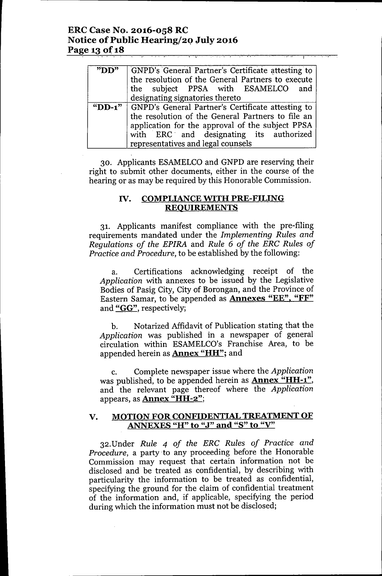#### ERC Case No. 2016-058 RC Notice of Public Hearing/2Q July 2016 Page 13 of 18  $\overline{\phantom{a}}$

| "D <sub>D</sub> | GNPD's General Partner's Certificate attesting to<br>the resolution of the General Partners to execute<br>the subject PPSA with ESAMELCO and |
|-----------------|----------------------------------------------------------------------------------------------------------------------------------------------|
|                 | designating signatories thereto                                                                                                              |
|                 | "DD-1"   GNPD's General Partner's Certificate attesting to                                                                                   |
|                 | the resolution of the General Partners to file an                                                                                            |
|                 | application for the approval of the subject PPSA                                                                                             |
|                 | with ERC and designating its authorized                                                                                                      |
|                 | representatives and legal counsels                                                                                                           |

30. Applicants ESAMELCOand GNPD are reserving their right to submit other documents, either in the course of the hearing or as may be required by this Honorable Commission.

### IV. COMPLIANCEWITH PRE-FILING REQUIREMENTS

31. Applicants manifest compliance with the pre-filing requirements mandated under the *Implementing Rules and Regulations of the EPIRA* and *Rule* 6 *of the ERC Rules of Practice and Procedure,* to be established by the following:

a. Certifications acknowledging receipt of the *Application* with annexes to be issued by the Legislative Bodies of Pasig City, City of Borongan, and the Province of Eastern Samar, to be appended as Annexes "EE", "FF" and "GG", respectively;

b. Notarized Affidavit of Publication stating that the *Application* was published in a newspaper of general circulation within ESAMELCO's Franchise Area, to be appended herein as **Annex "HH"**; and

c. Complete newspaper issue where the *Application* was published, to be appended herein as **Annex "HH-1"**, and the relevant page thereof where the *Application* appears, as Annex "HH-2";

### V. MOTION FOR CONFIDENTIAL TREATMENT OF ANNEXES "H" to "J" and "S" to "V"

32.Under *Rule* 4 *of the ERC Rules of Practice and Procedure,* a party to any proceeding before the Honorable Commission may request that certain information not be disclosed and be treated as confidential, by describing with particularity the information to be treated as confidential, specifying the ground for the claim of confidential treatment of the information and, if applicable, specifying the period during which the information must not be disclosed;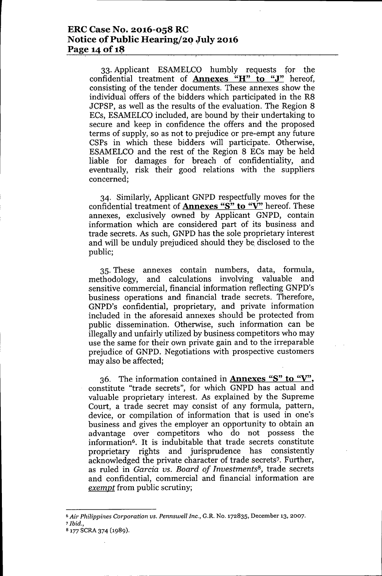33. Applicant ESAMELCO humbly requests for the confidential treatment of **Annexes** "H" **to** "J" hereof, consisting of the tender documents. These annexes show the individual offers of the bidders which participated in the R8 JCPSP, as well as the results of the evaluation. The Region 8 ECs, ESAMELCO included, are bound by their undertaking to secure and keep in confidence the offers and the proposed terms of supply, so as not to prejudice or pre-empt any future CSPs in which these bidders will participate. Otherwise, ESAMELCO and the rest of the Region 8 ECs may be held liable for damages for breach of confidentiality, and eventually, risk their good relations with the suppliers concerned;

34. Similarly, Applicant GNPD respectfully moves for the confidential treatment of **Annexes** "8" **to** "V" hereof. These annexes, exclusively owned by Applicant GNPD, contain information which are considered part of its business and trade secrets. As such, GNPD has the sole proprietary interest and will be unduly prejudiced should they be, disclosed to the public;

35. These annexes contain numbers, data, formula, methodology, and calculations involving valuable and sensitive commercial, financial information reflecting GNPD's business operations and financial trade secrets. Therefore, GNPD's confidential, proprietary, and private information included in the aforesaid annexes should be protected from public dissemination. Otherwise, such information can be illegally and unfairly utilized by business competitors who may use the same for their own private gain and to the irreparable prejudice of GNPD. Negotiations with prospective customers may also be affected;

36. The information contained in **Annexes** "8" **to** "V", constitute "trade secrets", for which GNPD has actual and valuable proprietary interest. As explained by the Supreme Court, a trade secret may consist of any formula, pattern, device, or compilation of information that is used in one's business and gives the employer an opportunity to obtain an advantage over competitors who do not possess the information6• It is indubitable that trade secrets constitute proprietary rights and jurisprudence has consistently acknowledged the private character of trade secrets7. Further, as ruled in *Garcia VS. Board of Investments8,* trade secrets and confidential, commercial and financial information are *exempt* from public scrutiny;

<sup>6</sup> *Air Philippines Corporation vs. Pennswell Inc.,* G.R. No. 172835, December 13, 2007.

*<sup>7</sup> Ibid.,*

<sup>8 177</sup> SCRA 374 (1989).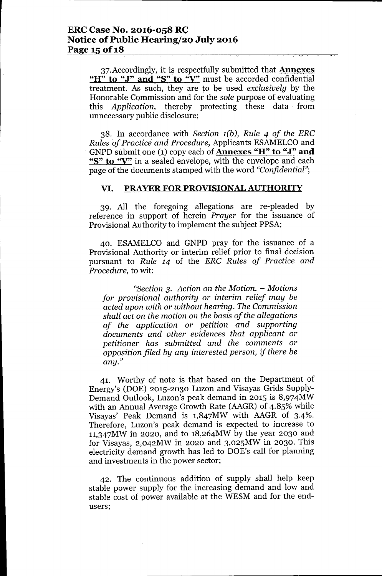37. Accordingly, it is respectfully submitted that **Annexes** "H" to "J" and "S" to "V" must be accorded confidential treatment. As such, they are to be used *exclusively* by the Honorable Commission and for the *sole* purpose of evaluating this *Application,* thereby protecting these data. from unnecessary public disclosure;

38. In accordance with *Section 1(b), Rule* 4 *of the ERC Rules of Practice and Procedure,* Applicants ESAMELCOand GNPD submit one (1) copy each of **Annexes "H" to "J" and** "S" to "V" in a sealed envelope, with the envelope and each page of the documents stamped with the word *"Confidential";*

### VI. PRAYER FOR PROVISIONAL AUTHORITY

39. All the foregoing allegations are re-pleaded by reference in support of herein *Prayer* for the issuance of Provisional Authority to implement the subject PPSA;

40. ESAMELCO and GNPD pray for the issuance of a Provisional Authority or interim relief prior to final decision pursuant to *Rule* 14 of the *ERC Rules of Practice and Procedure,* to wit:

*"Section* 3. *Action on the Motion. - Motions for provisional authority or interim relief may be acted upon with or without hearing. The Commission shall act on the motion on the basis of the allegations of the application or petition and supporting documents and other evidences that applicant or petitioner has submitted and the comments or opposition filed by any interested person, if there be any."*

41. Worthy of note is that based on the Department of Energy's (DOE) 2015-2030 Luzon and Visayas Grids Supply-Demand Outlook, Luzon's peak demand in 2015 is 8,974MW with an Annual Average Growth Rate (AAGR) of 4.85% while Visayas' Peak Demand is 1,847MW with AAGR of 3-4%. Therefore, Luzon's peak demand is expected to increase to 11,347MWin 2020, and to 18,264MW by the year 2030 and for Visayas, 2,042MW in 2020 and 3,025MW in 2030. This electricity demand growth has led to DOE's call for planning and investments in the power sector;

42. The continuous addition of supply shall help keep stable power supply for the increasing demand and low and stable cost of power available at the WESM and for the endusers;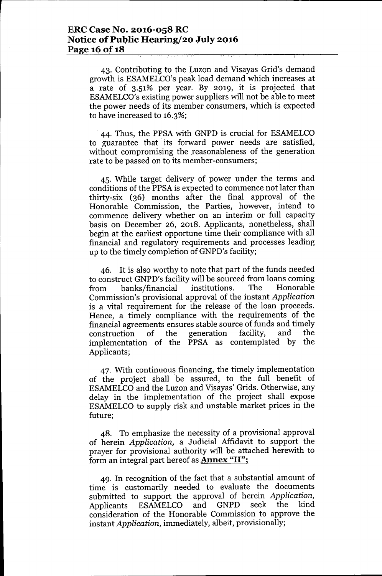43. Contributing to the Luzon and Visayas Grid's demand growth is ESAMELCO's peak load demand which increases at a rate of 3.51% per year. By 2019, it is projected that ESAMELCO's existing power suppliers will not be able to meet the power needs of its member consumers, which is expected to have increased to 16.3%;

. 44. Thus, the PPSA with GNPD is crucial for ESAMELCO to guarantee that. its forward power needs are satisfied, without compromising the reasonableness of the generation rate to be passed on to its member-consumers;

45. While target delivery of power under the terms and conditions of the PPSA is expected to commence not later than thirty-six (36) months after the final approval of the Honorable Commission, the Parties, however, intend to commence delivery whether on an interim or full capacity basis on December 26, 2018. Applicants, nonetheless, shall begin at the earliest opportune time their compliance with all financial and regulatory requirements and processes leading up to the timely completion of GNPD's facility;

46. It is also worthy to note that part of the funds needed to construct GNPD's facility will be sourced from loans coming from banks/financial institutions. The Honorable Commission's provisional approval of the instant *Application* is a vital requirement for the release of the loan proceeds. Hence, a timely compliance with the requirements of the financial agreements ensures stable source of funds and timely construction of the generation facility, and the implementation of the PPSA as contemplated by the Applicants;

47. With continuous financing, the timely implementation of the project shall be assured, to the full benefit of ESAMELCO and the Luzon and Visayas' Grids. Otherwise, any delay in the implementation of the project shall expose ESAMELCO to supply risk and unstable market prices in the future;

48. To emphasize the necessity of a provisional approval of herein *Application,* a Judicial Affidavit to support the prayer for provisional authority will be attached herewith to form an integral part hereof as **Annex** "II";

49. In recognition of the fact that a substantial amount of time is customarily needed to evaluate the documents submitted to support the approval of herein *Application,* Applicants ESAMELCO and GNPD seek the kind consideration of the Honorable Commission to approve the instant *Application,* immediately, albeit, provisionally;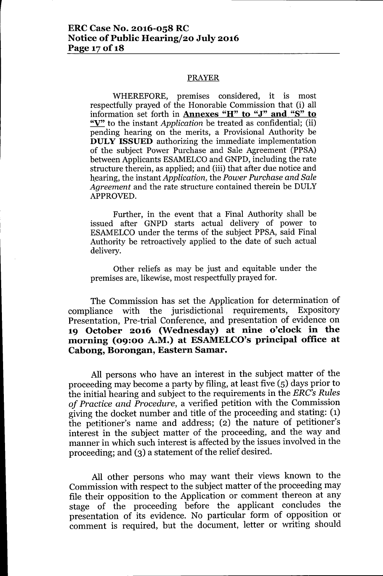#### PRAYER

WHEREFORE, premises considered, it is most respectfully prayed of the Honorable Commission that (i) all information set forth in Annexes "H" to "J" and "S" to "V" to the instant *Application* be treated as confidential; (ii) pending hearing on the merits, a Provisional Authority be DULY ISSUED authorizing the immediate implementation of the subject Power Purchase and Sale Agreement (PPSA) between Applicants ESAMELCO and GNPD, including the rate structure therein, as applied; and (iii) that after due notice and hearing, the instant *Application*, the *Power Purchase and Sale Agreement* and the rate structure contained therein be DULY APPROVED.

Further, in the event that a Final Authority shall be issued after GNPD starts actual delivery of power to ESAMELCO under the terms of the subject PPSA, said Final Authority be retroactively applied to the date of such actual delivery.

Other reliefs as may be just and equitable under the premises are, likewise, most respectfully prayed for.

The Commission has set the Application for determination of compliance with the jurisdictional requirements, Expository Presentation, Pre-trial Conference, and presentation of evidence on 19 October 2016 (Wednesday) at nine o'clock in the morning (09:00 A.M.) at ESAMELCO's principal office at Cabong, Borongan, Eastern Samar.

All persons who have an interest in the subject matter of the proceeding may become a party by filing, at least five (5) days prior to the initial hearing and subject to the requirements in the *ERC's Rules of Practice and Procedure,* a verified petition with the Commission giving the docket number and title of the proceeding and stating: (1) the petitioner's name and address; (2) the nature of petitioner's interest in the subject matter of the proceeding, and the way and manner in which such interest is affected by the issues involved in the proceeding; and (3) a statement of the relief desired.

All other persons who may want their views known to the Commission with respect to the subject matter of the proceeding may file their opposition to the Application or comment thereon at any stage of the proceeding before the applicant concludes the presentation of its evidence. No particular form of opposition or comment is required, but the document, letter or writing should